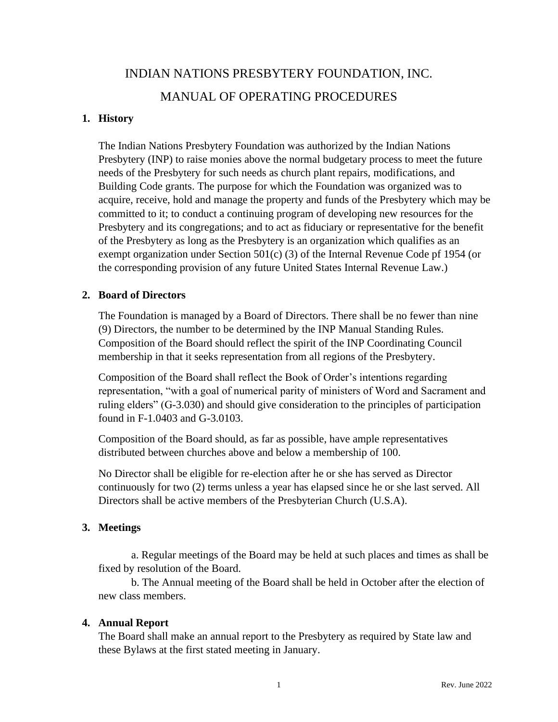# INDIAN NATIONS PRESBYTERY FOUNDATION, INC. MANUAL OF OPERATING PROCEDURES

#### **1. History**

The Indian Nations Presbytery Foundation was authorized by the Indian Nations Presbytery (INP) to raise monies above the normal budgetary process to meet the future needs of the Presbytery for such needs as church plant repairs, modifications, and Building Code grants. The purpose for which the Foundation was organized was to acquire, receive, hold and manage the property and funds of the Presbytery which may be committed to it; to conduct a continuing program of developing new resources for the Presbytery and its congregations; and to act as fiduciary or representative for the benefit of the Presbytery as long as the Presbytery is an organization which qualifies as an exempt organization under Section 501(c) (3) of the Internal Revenue Code pf 1954 (or the corresponding provision of any future United States Internal Revenue Law.)

#### **2. Board of Directors**

The Foundation is managed by a Board of Directors. There shall be no fewer than nine (9) Directors, the number to be determined by the INP Manual Standing Rules. Composition of the Board should reflect the spirit of the INP Coordinating Council membership in that it seeks representation from all regions of the Presbytery.

Composition of the Board shall reflect the Book of Order's intentions regarding representation, "with a goal of numerical parity of ministers of Word and Sacrament and ruling elders" (G-3.030) and should give consideration to the principles of participation found in F-1.0403 and G-3.0103.

Composition of the Board should, as far as possible, have ample representatives distributed between churches above and below a membership of 100.

No Director shall be eligible for re-election after he or she has served as Director continuously for two (2) terms unless a year has elapsed since he or she last served. All Directors shall be active members of the Presbyterian Church (U.S.A).

## **3. Meetings**

a. Regular meetings of the Board may be held at such places and times as shall be fixed by resolution of the Board.

b. The Annual meeting of the Board shall be held in October after the election of new class members.

## **4. Annual Report**

The Board shall make an annual report to the Presbytery as required by State law and these Bylaws at the first stated meeting in January.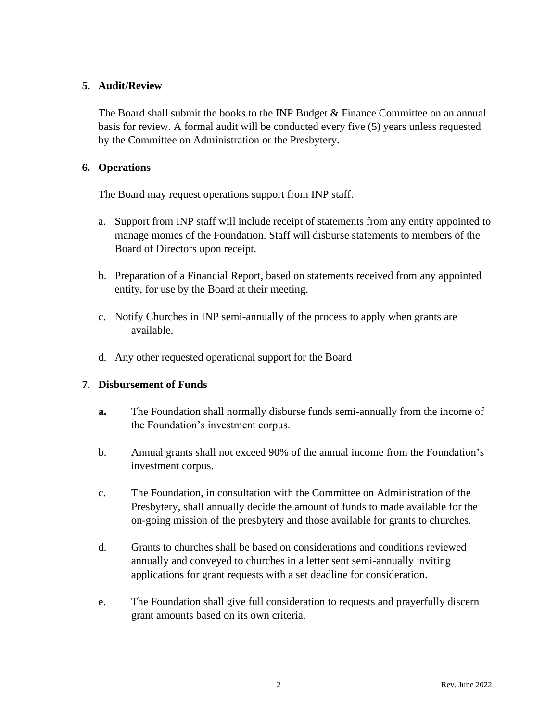## **5. Audit/Review**

The Board shall submit the books to the INP Budget & Finance Committee on an annual basis for review. A formal audit will be conducted every five (5) years unless requested by the Committee on Administration or the Presbytery.

## **6. Operations**

The Board may request operations support from INP staff.

- a. Support from INP staff will include receipt of statements from any entity appointed to manage monies of the Foundation. Staff will disburse statements to members of the Board of Directors upon receipt.
- b. Preparation of a Financial Report, based on statements received from any appointed entity, for use by the Board at their meeting.
- c. Notify Churches in INP semi-annually of the process to apply when grants are available.
- d. Any other requested operational support for the Board

## **7. Disbursement of Funds**

- **a.** The Foundation shall normally disburse funds semi-annually from the income of the Foundation's investment corpus.
- b. Annual grants shall not exceed 90% of the annual income from the Foundation's investment corpus.
- c. The Foundation, in consultation with the Committee on Administration of the Presbytery, shall annually decide the amount of funds to made available for the on-going mission of the presbytery and those available for grants to churches.
- d. Grants to churches shall be based on considerations and conditions reviewed annually and conveyed to churches in a letter sent semi-annually inviting applications for grant requests with a set deadline for consideration.
- e. The Foundation shall give full consideration to requests and prayerfully discern grant amounts based on its own criteria.